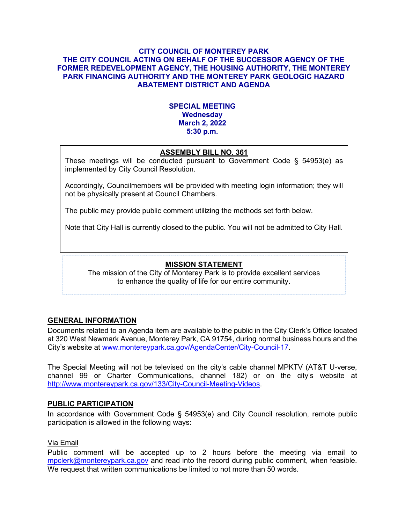#### **CITY COUNCIL OF MONTEREY PARK THE CITY COUNCIL ACTING ON BEHALF OF THE SUCCESSOR AGENCY OF THE FORMER REDEVELOPMENT AGENCY, THE HOUSING AUTHORITY, THE MONTEREY PARK FINANCING AUTHORITY AND THE MONTEREY PARK GEOLOGIC HAZARD ABATEMENT DISTRICT AND AGENDA**

# **SPECIAL MEETING Wednesday March 2, 2022 5:30 p.m.**

# **ASSEMBLY BILL NO. 361**

These meetings will be conducted pursuant to Government Code § 54953(e) as implemented by City Council Resolution.

Accordingly, Councilmembers will be provided with meeting login information; they will not be physically present at Council Chambers.

The public may provide public comment utilizing the methods set forth below.

Note that City Hall is currently closed to the public. You will not be admitted to City Hall.

# **MISSION STATEMENT**

The mission of the City of Monterey Park is to provide excellent services to enhance the quality of life for our entire community.

# **GENERAL INFORMATION**

Documents related to an Agenda item are available to the public in the City Clerk's Office located at 320 West Newmark Avenue, Monterey Park, CA 91754, during normal business hours and the City's website at [www.montereypark.ca.gov/AgendaCenter/City-Council-17.](http://www.montereypark.ca.gov/AgendaCenter/City-Council-17)

The Special Meeting will not be televised on the city's cable channel MPKTV (AT&T U-verse, channel 99 or Charter Communications, channel 182) or on the city's website at [http://www.montereypark.ca.gov/133/City-Council-Meeting-Videos.](http://www.montereypark.ca.gov/133/City-Council-Meeting-Videos)

# **PUBLIC PARTICIPATION**

In accordance with Government Code § 54953(e) and City Council resolution, remote public participation is allowed in the following ways:

# Via Email

Public comment will be accepted up to 2 hours before the meeting via email to [mpclerk@montereypark.ca.gov](mailto:mpclerk@montereypark.ca.gov) and read into the record during public comment, when feasible. We request that written communications be limited to not more than 50 words.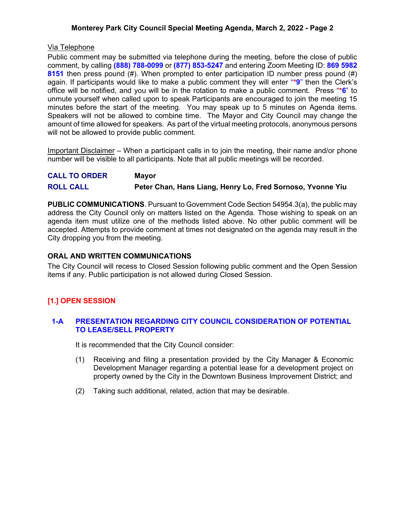### **Monterey Park City Council Special Meeting Agenda, March 2, 2022 - Page 2**

### Via Telephone

Public comment may be submitted via telephone during the meeting, before the close of public comment, by calling **(888) 788-0099** or **(877) 853-5247** and entering Zoom Meeting ID: **869 5982 8151** then press pound (#). When prompted to enter participation ID number press pound (#) again. If participants would like to make a public comment they will enter "**\*9**" then the Clerk's office will be notified, and you will be in the rotation to make a public comment. Press "**\*6**" to unmute yourself when called upon to speak Participants are encouraged to join the meeting 15 minutes before the start of the meeting. You may speak up to 5 minutes on Agenda items. Speakers will not be allowed to combine time. The Mayor and City Council may change the amount of time allowed for speakers. As part of the virtual meeting protocols, anonymous persons will not be allowed to provide public comment.

Important Disclaimer – When a participant calls in to join the meeting, their name and/or phone number will be visible to all participants. Note that all public meetings will be recorded.

| <b>CALL TO ORDER</b> | <b>Mayor</b>                                               |
|----------------------|------------------------------------------------------------|
| <b>ROLL CALL</b>     | Peter Chan, Hans Liang, Henry Lo, Fred Sornoso, Yvonne Yiu |

**PUBLIC COMMUNICATIONS**. Pursuant to Government Code Section 54954.3(a), the public may address the City Council only on matters listed on the Agenda. Those wishing to speak on an agenda item must utilize one of the methods listed above. No other public comment will be accepted. Attempts to provide comment at times not designated on the agenda may result in the City dropping you from the meeting.

#### **ORAL AND WRITTEN COMMUNICATIONS**

The City Council will recess to Closed Session following public comment and the Open Session items if any. Public participation is not allowed during Closed Session.

# **[1.] OPEN SESSION**

#### **1-A PRESENTATION REGARDING CITY COUNCIL CONSIDERATION OF POTENTIAL TO LEASE/SELL PROPERTY**

It is recommended that the City Council consider:

- (1) Receiving and filing a presentation provided by the City Manager & Economic Development Manager regarding a potential lease for a development project on property owned by the City in the Downtown Business Improvement District; and
- (2) Taking such additional, related, action that may be desirable.